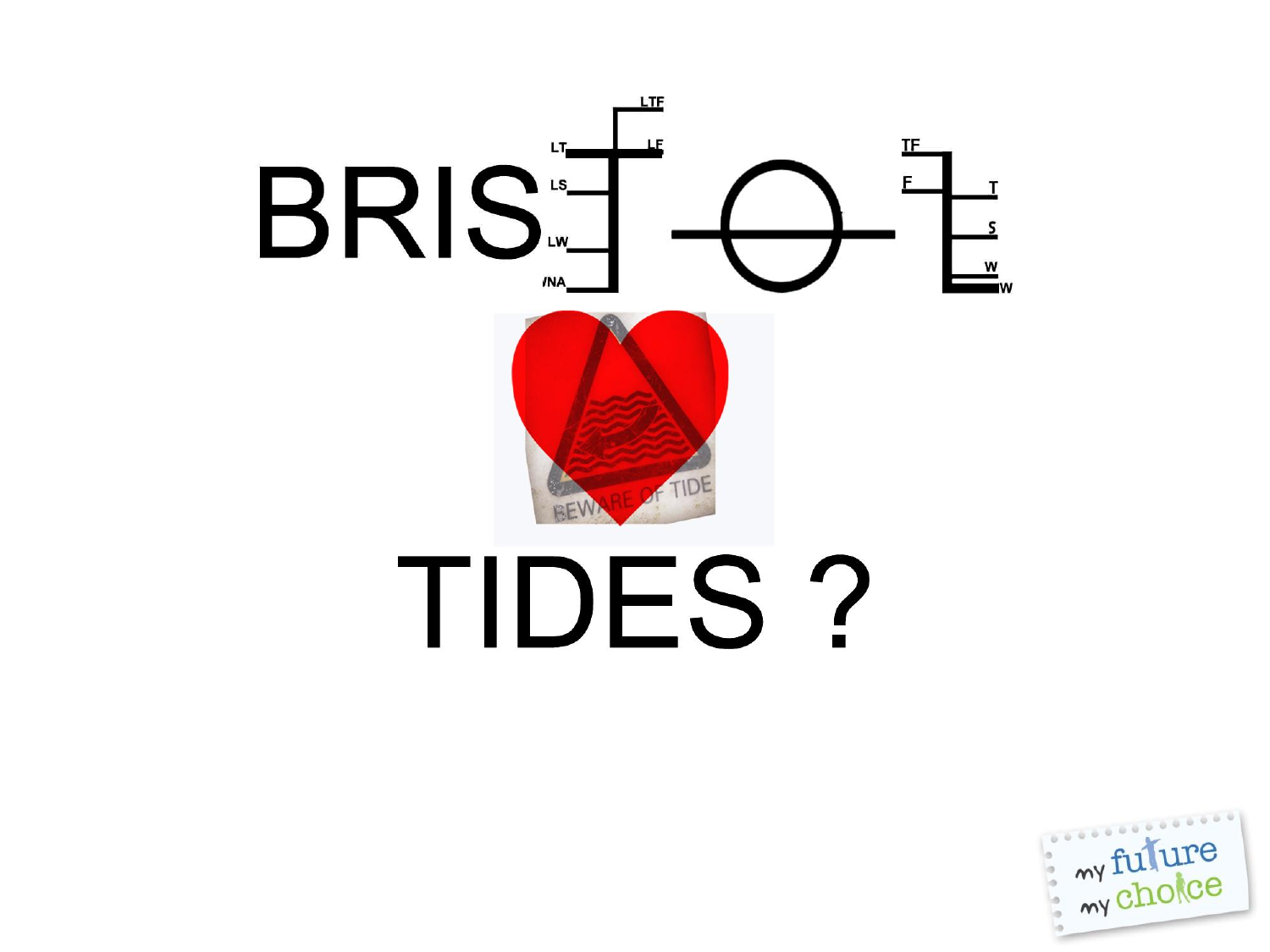

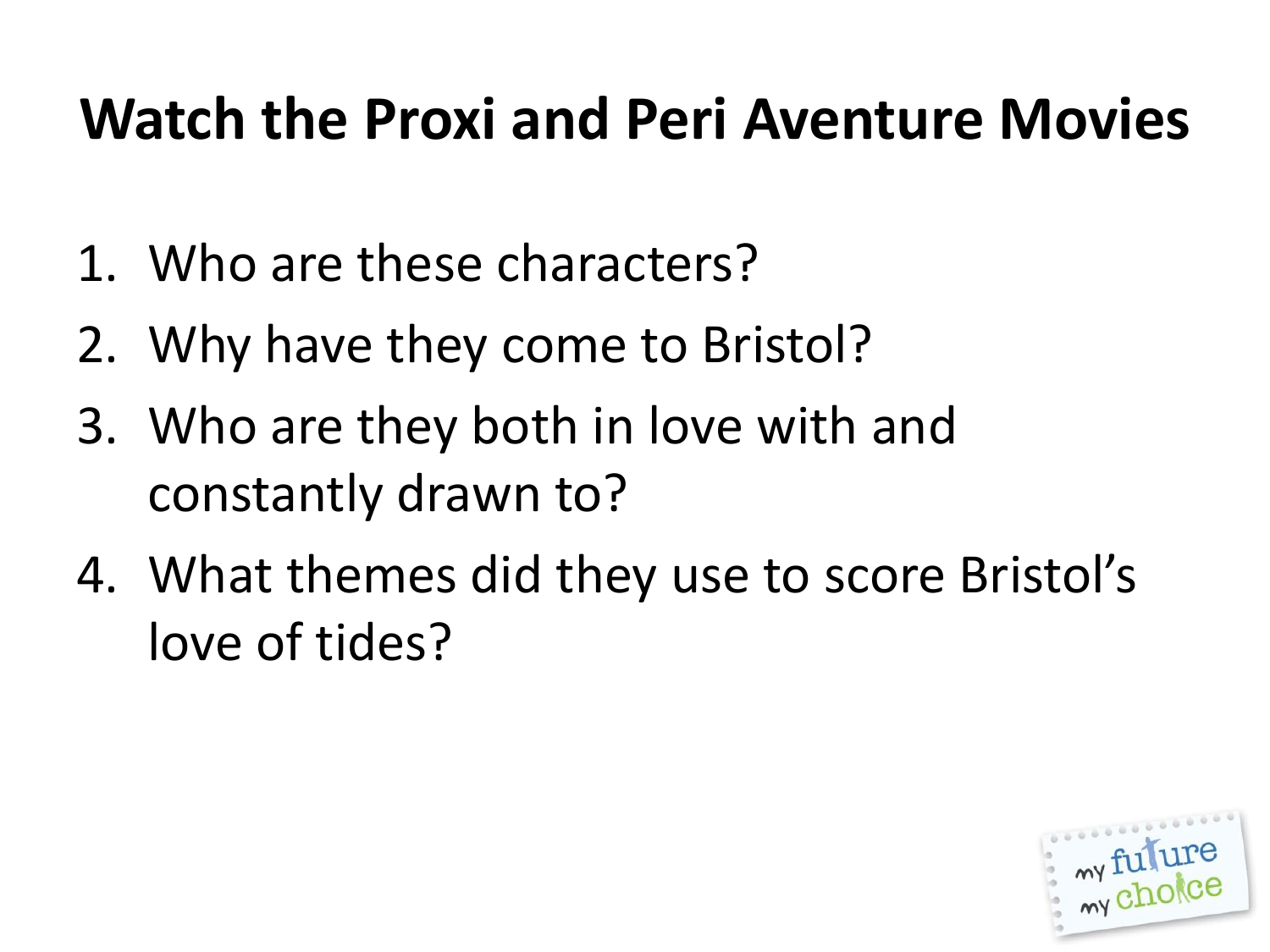## **Watch the Proxi and Peri Aventure Movies**

- 1. Who are these characters?
- 2. Why have they come to Bristol?
- 3. Who are they both in love with and constantly drawn to?
- 4. What themes did they use to score Bristol's love of tides?

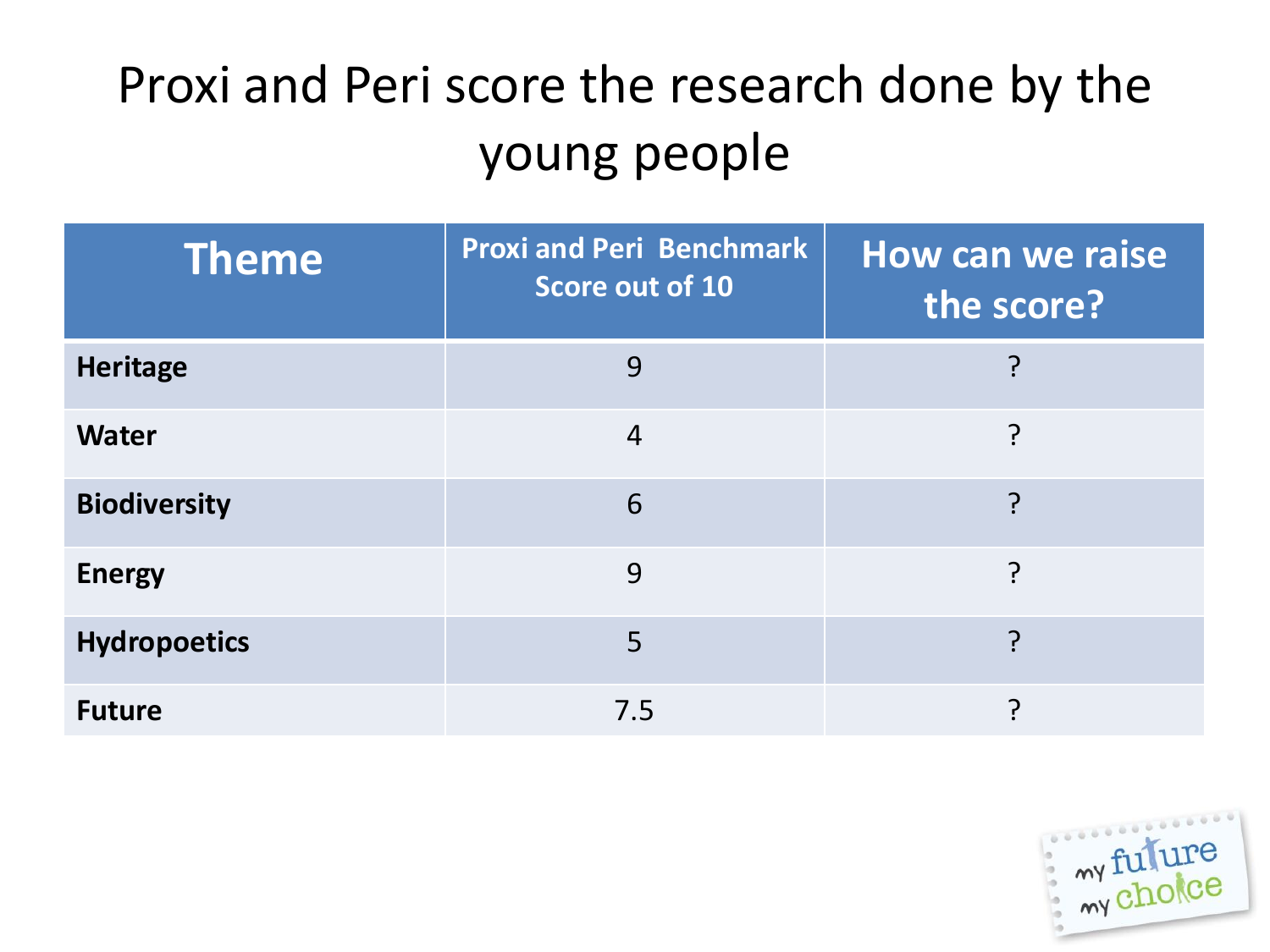## Proxi and Peri score the research done by the young people

| <b>Theme</b>        | <b>Proxi and Peri Benchmark</b><br>Score out of 10 | How can we raise<br>the score? |
|---------------------|----------------------------------------------------|--------------------------------|
| <b>Heritage</b>     | 9                                                  |                                |
| <b>Water</b>        | 4                                                  | ၣ                              |
| <b>Biodiversity</b> | 6                                                  | 7                              |
| <b>Energy</b>       | 9                                                  | ှာ                             |
| <b>Hydropoetics</b> | 5                                                  | ှာ                             |
| <b>Future</b>       | 7.5                                                | ว                              |

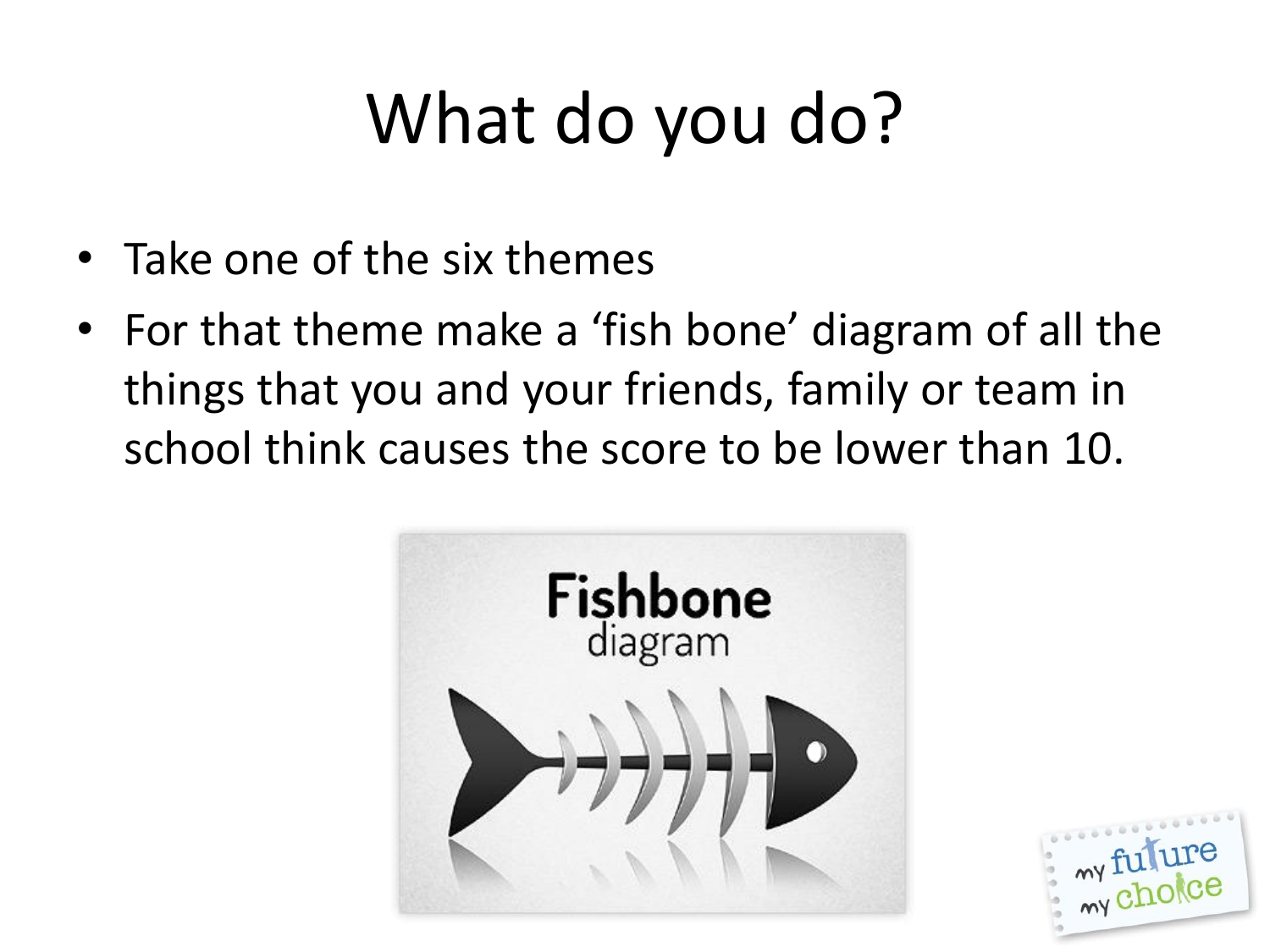# What do you do?

- Take one of the six themes
- For that theme make a 'fish bone' diagram of all the things that you and your friends, family or team in school think causes the score to be lower than 10.



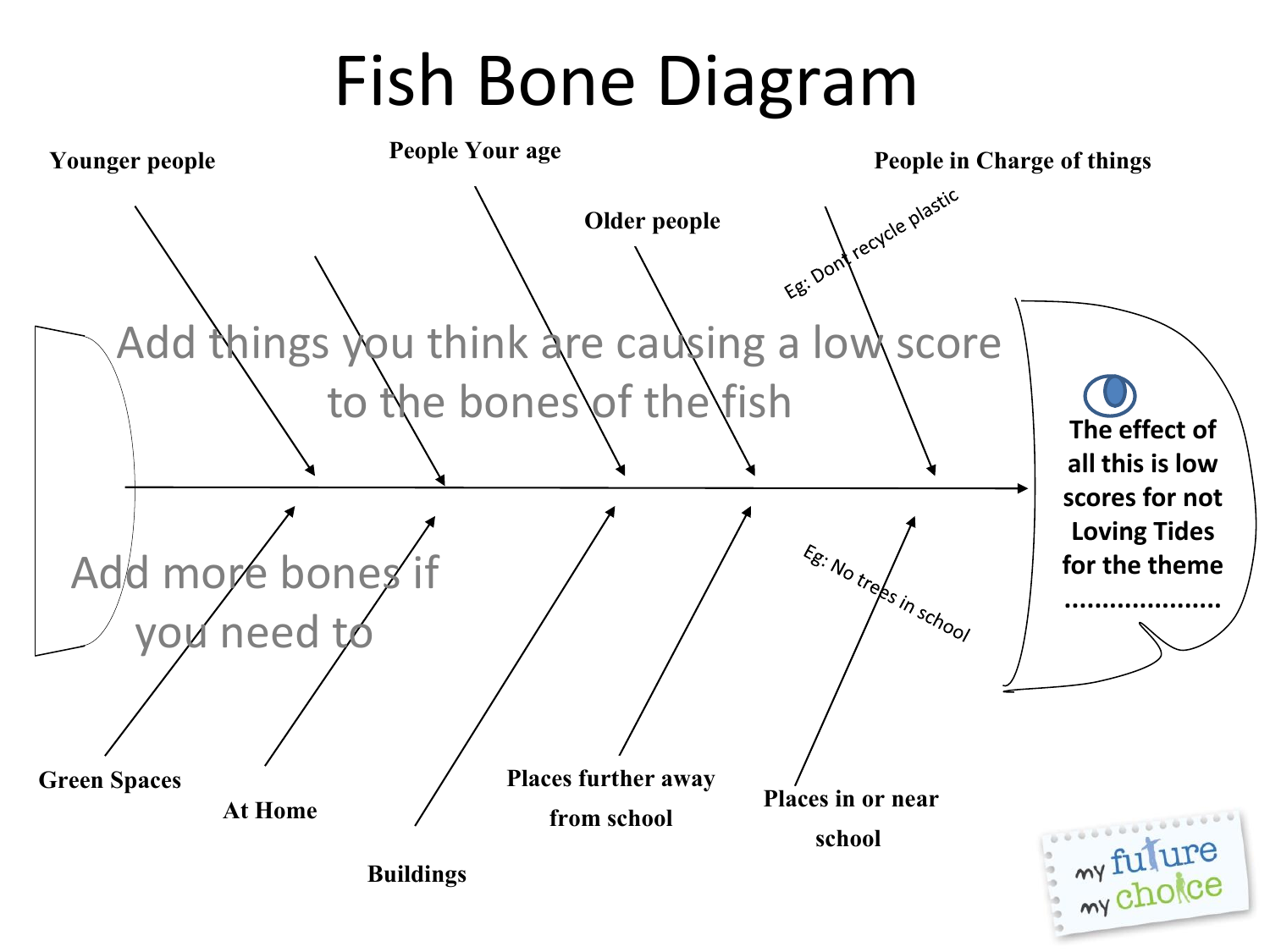# Fish Bone Diagram

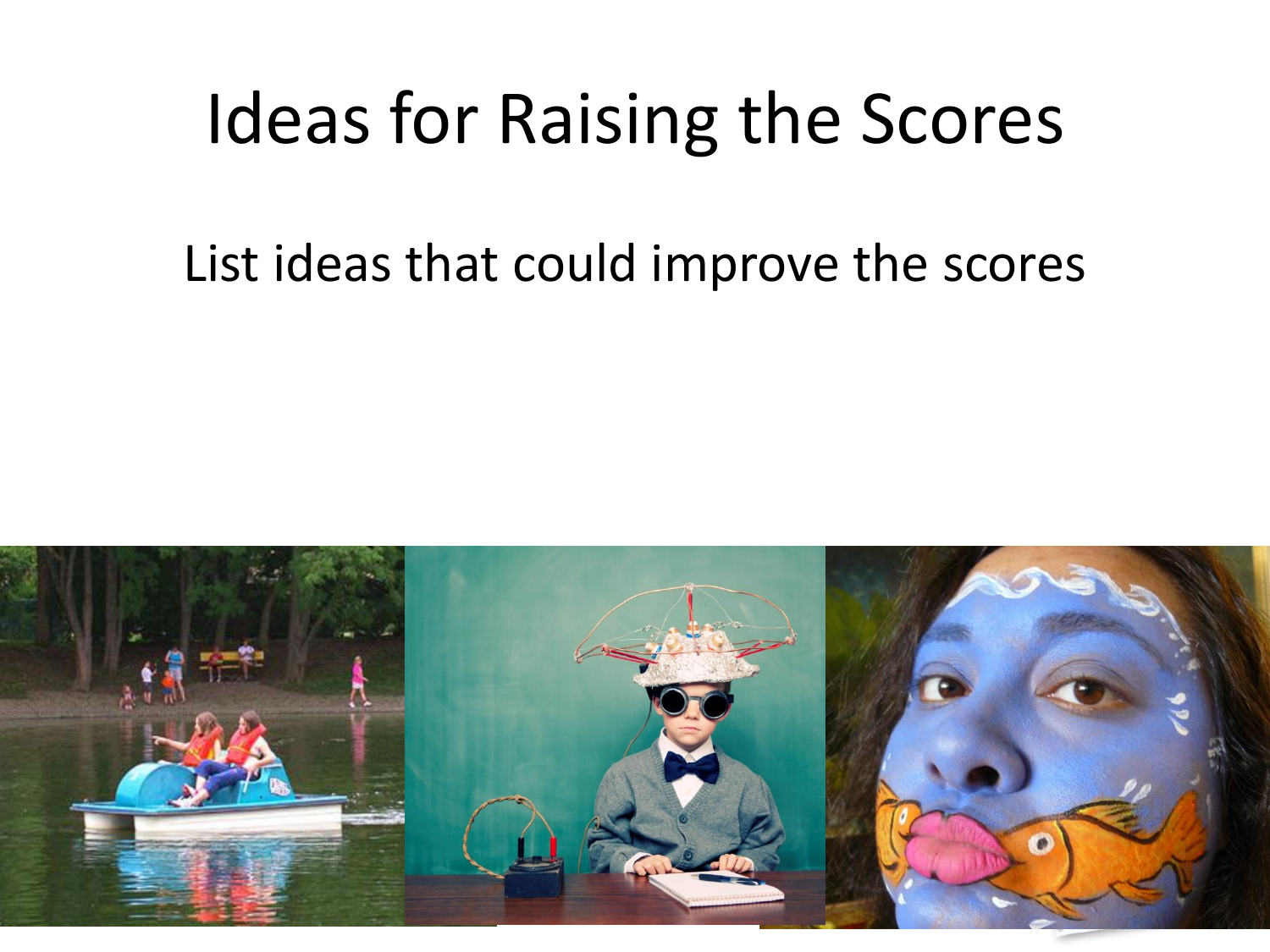## Ideas for Raising the Scores

#### List ideas that could improve the scores

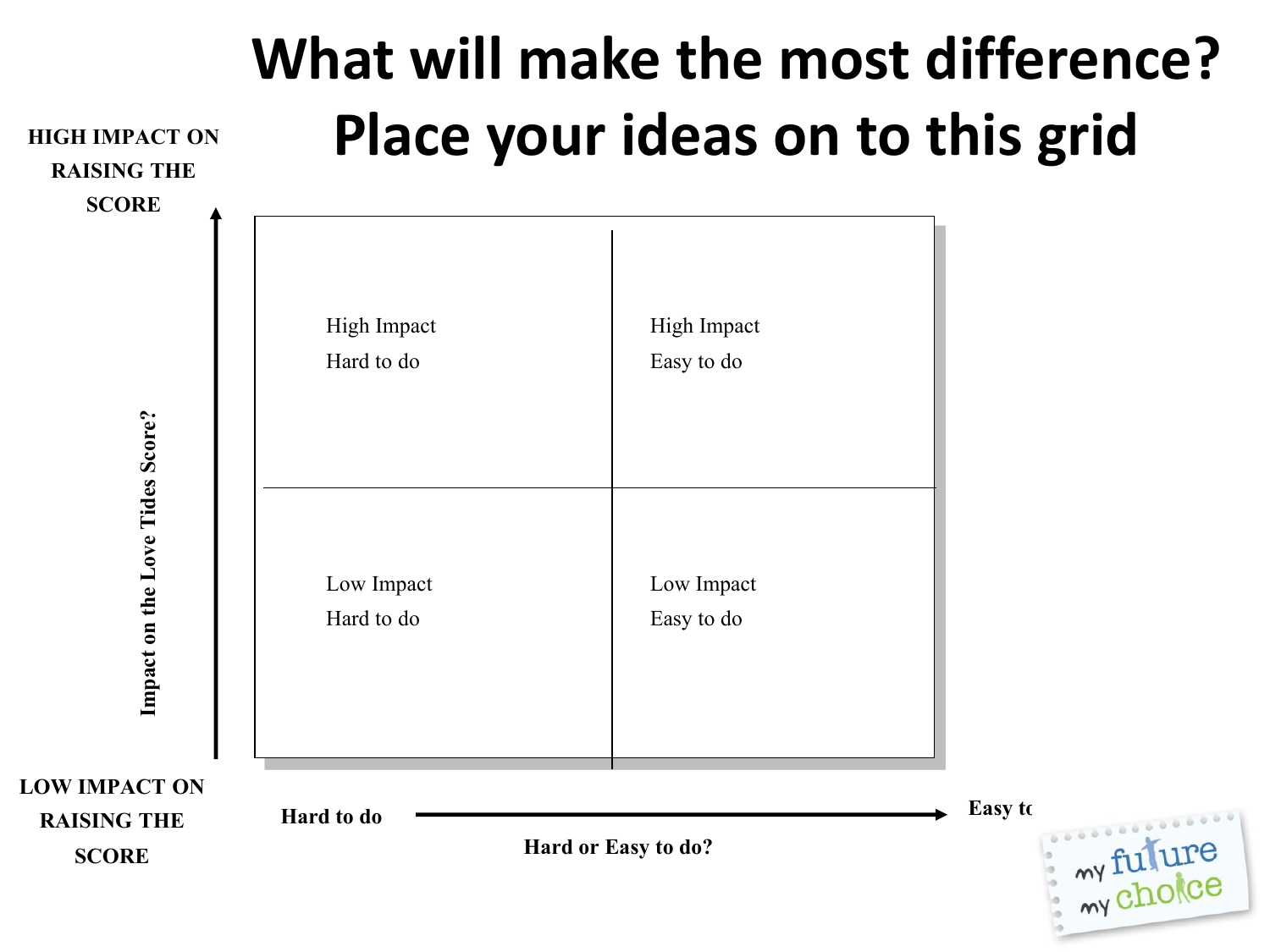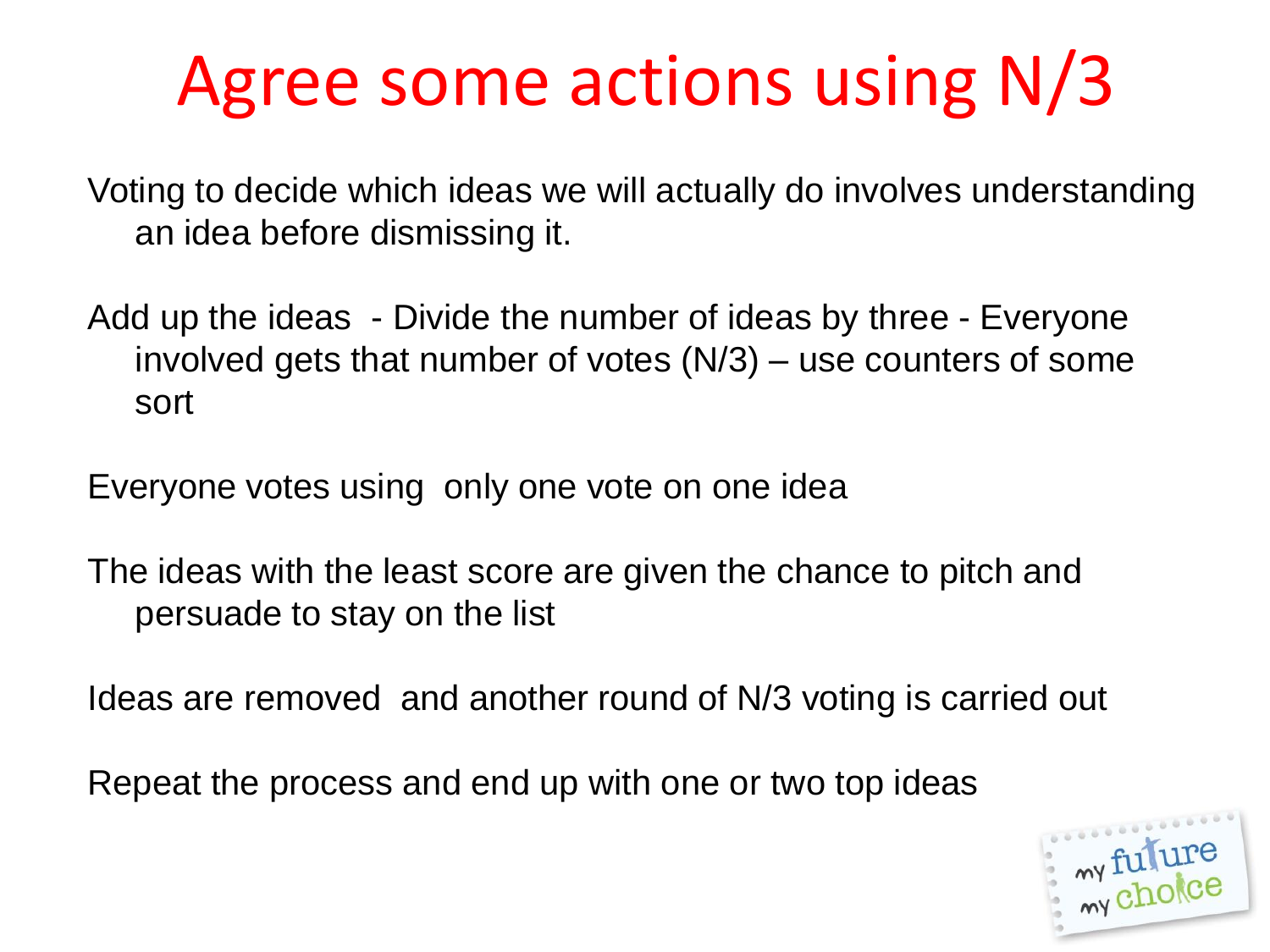# Agree some actions using N/3

Voting to decide which ideas we will actually do involves understanding an idea before dismissing it.

Add up the ideas - Divide the number of ideas by three - Everyone involved gets that number of votes (N/3) – use counters of some sort

Everyone votes using only one vote on one idea

The ideas with the least score are given the chance to pitch and persuade to stay on the list

Ideas are removed and another round of N/3 voting is carried out

Repeat the process and end up with one or two top ideas

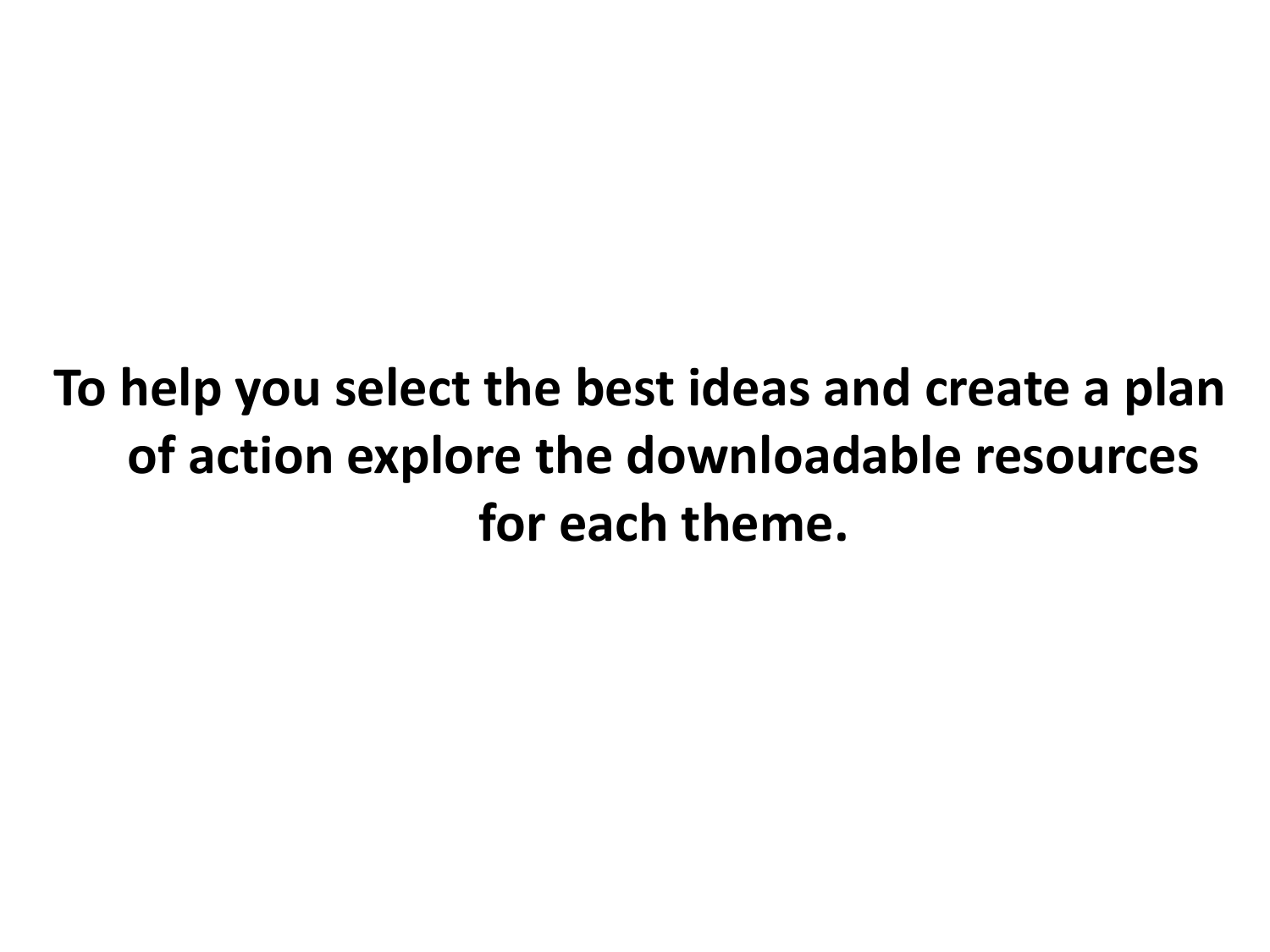### **To help you select the best ideas and create a plan of action explore the downloadable resources for each theme.**